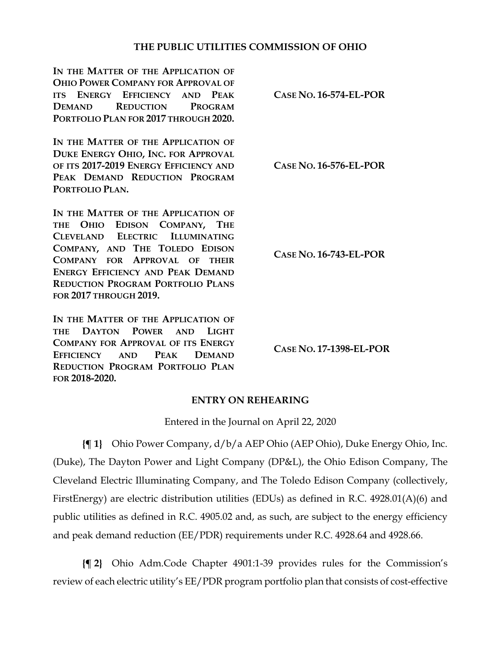### **THE PUBLIC UTILITIES COMMISSION OF OHIO**

**IN THE MATTER OF THE APPLICATION OF OHIO POWER COMPANY FOR APPROVAL OF ITS ENERGY EFFICIENCY AND PEAK DEMAND REDUCTION PROGRAM PORTFOLIO PLAN FOR 2017 THROUGH 2020.**

**IN THE MATTER OF THE APPLICATION OF DUKE ENERGY OHIO, INC. FOR APPROVAL OF ITS 2017-2019 ENERGY EFFICIENCY AND PEAK DEMAND REDUCTION PROGRAM PORTFOLIO PLAN.**

IN THE MATTER OF THE APPLICATION OF **THE OHIO EDISON COMPANY, THE CLEVELAND ELECTRIC ILLUMINATING COMPANY, AND THE TOLEDO EDISON COMPANY FOR APPROVAL OF THEIR ENERGY EFFICIENCY AND PEAK DEMAND REDUCTION PROGRAM PORTFOLIO PLANS FOR 2017 THROUGH 2019.**

**IN THE MATTER OF THE APPLICATION OF THE DAYTON POWER AND LIGHT COMPANY FOR APPROVAL OF ITS ENERGY EFFICIENCY AND PEAK DEMAND REDUCTION PROGRAM PORTFOLIO PLAN FOR 2018-2020.**

**CASE NO. 16-574-EL-POR**

**CASE NO. 16-576-EL-POR**

**CASE NO. 16-743-EL-POR**

**CASE NO. 17-1398-EL-POR**

### **ENTRY ON REHEARING**

Entered in the Journal on April 22, 2020

**{¶ 1}** Ohio Power Company, d/b/a AEP Ohio (AEP Ohio), Duke Energy Ohio, Inc. (Duke), The Dayton Power and Light Company (DP&L), the Ohio Edison Company, The Cleveland Electric Illuminating Company, and The Toledo Edison Company (collectively, FirstEnergy) are electric distribution utilities (EDUs) as defined in R.C. 4928.01(A)(6) and public utilities as defined in R.C. 4905.02 and, as such, are subject to the energy efficiency and peak demand reduction (EE/PDR) requirements under R.C. 4928.64 and 4928.66.

**{¶ 2}** Ohio Adm.Code Chapter 4901:1-39 provides rules for the Commission's review of each electric utility's EE/PDR program portfolio plan that consists of cost-effective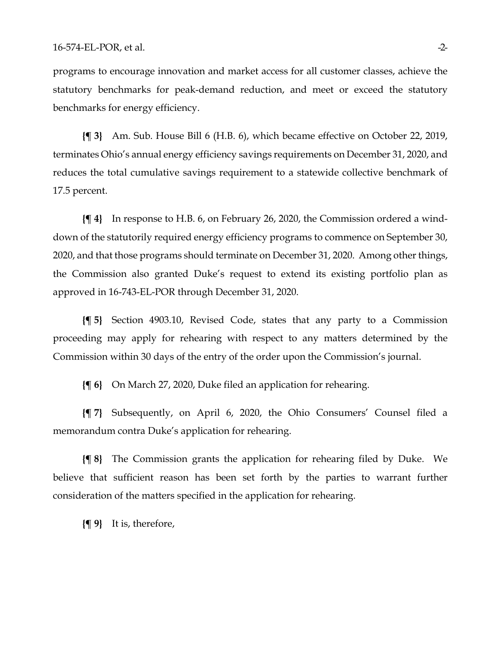programs to encourage innovation and market access for all customer classes, achieve the statutory benchmarks for peak-demand reduction, and meet or exceed the statutory benchmarks for energy efficiency.

**{¶ 3}** Am. Sub. House Bill 6 (H.B. 6), which became effective on October 22, 2019, terminates Ohio's annual energy efficiency savings requirements on December 31, 2020, and reduces the total cumulative savings requirement to a statewide collective benchmark of 17.5 percent.

**{¶ 4}** In response to H.B. 6, on February 26, 2020, the Commission ordered a winddown of the statutorily required energy efficiency programs to commence on September 30, 2020, and that those programs should terminate on December 31, 2020. Among other things, the Commission also granted Duke's request to extend its existing portfolio plan as approved in 16-743-EL-POR through December 31, 2020.

**{¶ 5}** Section 4903.10, Revised Code, states that any party to a Commission proceeding may apply for rehearing with respect to any matters determined by the Commission within 30 days of the entry of the order upon the Commission's journal.

**{¶ 6}** On March 27, 2020, Duke filed an application for rehearing.

**{¶ 7}** Subsequently, on April 6, 2020, the Ohio Consumers' Counsel filed a memorandum contra Duke's application for rehearing.

**{¶ 8}** The Commission grants the application for rehearing filed by Duke. We believe that sufficient reason has been set forth by the parties to warrant further consideration of the matters specified in the application for rehearing.

**{¶ 9}** It is, therefore,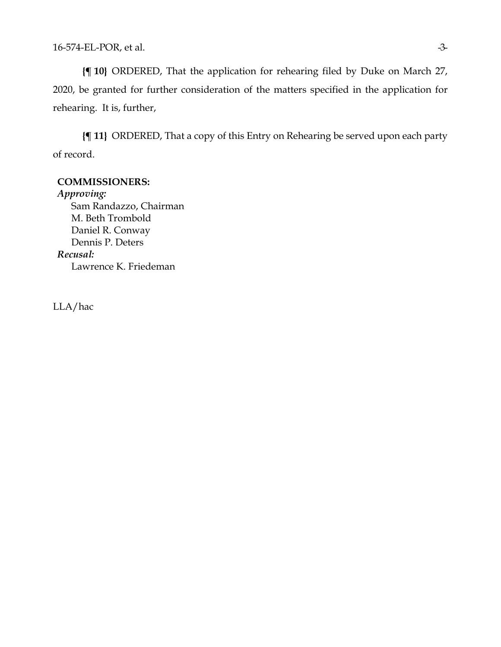**{¶ 10}** ORDERED, That the application for rehearing filed by Duke on March 27, 2020, be granted for further consideration of the matters specified in the application for rehearing. It is, further,

**{¶ 11}** ORDERED, That a copy of this Entry on Rehearing be served upon each party of record.

#### **COMMISSIONERS:**

*Approving:*  Sam Randazzo, Chairman M. Beth Trombold Daniel R. Conway Dennis P. Deters *Recusal:* Lawrence K. Friedeman

LLA/hac